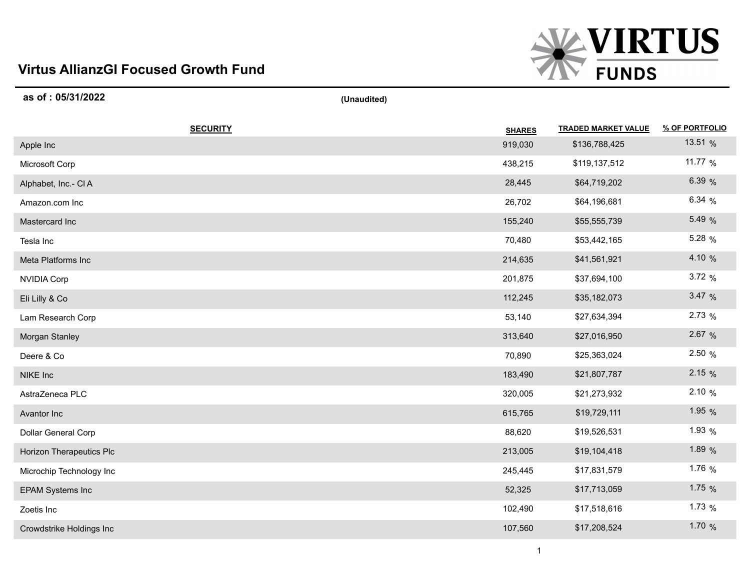## **Virtus AllianzGI Focused Growth Fund**



| as of: 05/31/2022        | (Unaudited) |               |                            |                |
|--------------------------|-------------|---------------|----------------------------|----------------|
| <b>SECURITY</b>          |             | <b>SHARES</b> | <b>TRADED MARKET VALUE</b> | % OF PORTFOLIO |
| Apple Inc                |             | 919,030       | \$136,788,425              | 13.51 %        |
| Microsoft Corp           |             | 438,215       | \$119,137,512              | 11.77 %        |
| Alphabet, Inc.- CIA      |             | 28,445        | \$64,719,202               | 6.39 %         |
| Amazon.com Inc           |             | 26,702        | \$64,196,681               | 6.34%          |
| Mastercard Inc           |             | 155,240       | \$55,555,739               | 5.49 %         |
| Tesla Inc                |             | 70,480        | \$53,442,165               | 5.28 %         |
| Meta Platforms Inc       |             | 214,635       | \$41,561,921               | 4.10 %         |
| <b>NVIDIA Corp</b>       |             | 201,875       | \$37,694,100               | 3.72%          |
| Eli Lilly & Co           |             | 112,245       | \$35,182,073               | 3.47%          |
| Lam Research Corp        |             | 53,140        | \$27,634,394               | 2.73 %         |
| Morgan Stanley           |             | 313,640       | \$27,016,950               | 2.67 %         |
| Deere & Co               |             | 70,890        | \$25,363,024               | 2.50 %         |
| NIKE Inc                 |             | 183,490       | \$21,807,787               | 2.15%          |
| AstraZeneca PLC          |             | 320,005       | \$21,273,932               | 2.10%          |
| Avantor Inc              |             | 615,765       | \$19,729,111               | 1.95 %         |
| Dollar General Corp      |             | 88,620        | \$19,526,531               | 1.93 $%$       |
| Horizon Therapeutics Plc |             | 213,005       | \$19,104,418               | 1.89 %         |
| Microchip Technology Inc |             | 245,445       | \$17,831,579               | 1.76 %         |
| <b>EPAM Systems Inc</b>  |             | 52,325        | \$17,713,059               | 1.75 $%$       |
| Zoetis Inc               |             | 102,490       | \$17,518,616               | 1.73 $%$       |
| Crowdstrike Holdings Inc |             | 107,560       | \$17,208,524               | 1.70 %         |